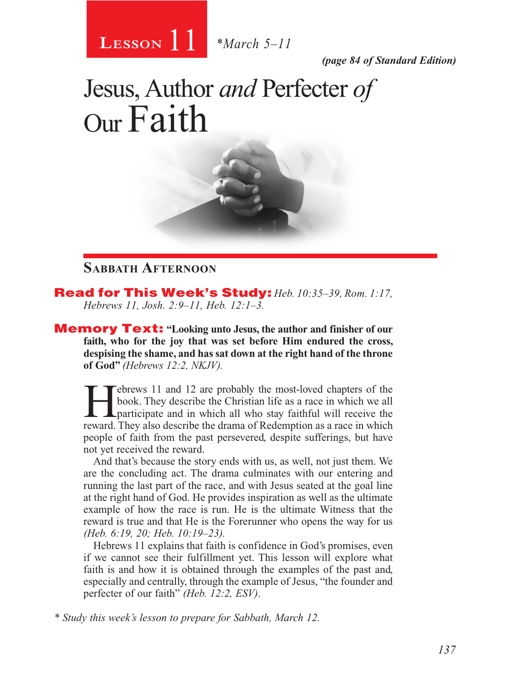

*(page 84 of Standard Edition)*

# Jesus, Author *and* Perfecter *of* Our Faith

#### **Sabbath Afternoon**

Read for This Week's Study: *Heb. 10:35–39, Rom. 1:17, Hebrews 11, Josh. 2:9–11, Heb. 12:1–3.*

Memory Text: **"Looking unto Jesus, the author and finisher of our faith, who for the joy that was set before Him endured the cross, despising the shame, and has sat down at the right hand of the throne of God"** *(Hebrews 12:2, NKJV).*

Febrews 11 and 12 are probably the most-loved chapters of the book. They describe the Christian life as a race in which we all participate and in which all who stay faithful will receive the reward. They also describe the book. They describe the Christian life as a race in which we all reward. They also describe the drama of Redemption as a race in which people of faith from the past persevered, despite sufferings, but have not yet received the reward.

And that's because the story ends with us, as well, not just them. We are the concluding act. The drama culminates with our entering and running the last part of the race, and with Jesus seated at the goal line at the right hand of God. He provides inspiration as well as the ultimate example of how the race is run. He is the ultimate Witness that the reward is true and that He is the Forerunner who opens the way for us *(Heb. 6:19, 20; Heb. 10:19–23).*

Hebrews 11 explains that faith is confidence in God's promises, even if we cannot see their fulfillment yet. This lesson will explore what faith is and how it is obtained through the examples of the past and, especially and centrally, through the example of Jesus, "the founder and perfecter of our faith" *(Heb. 12:2, ESV)*.

*\* Study this week's lesson to prepare for Sabbath, March 12.*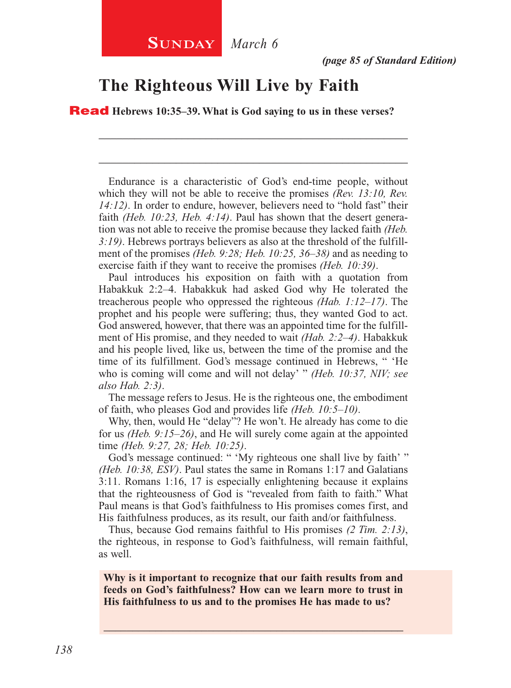## **The Righteous Will Live by Faith**

Read **Hebrews 10:35–39. What is God saying to us in these verses?**

Endurance is a characteristic of God's end-time people, without which they will not be able to receive the promises *(Rev. 13:10, Rev. 14:12)*. In order to endure, however, believers need to "hold fast" their faith *(Heb. 10:23, Heb. 4:14)*. Paul has shown that the desert generation was not able to receive the promise because they lacked faith *(Heb. 3:19)*. Hebrews portrays believers as also at the threshold of the fulfillment of the promises *(Heb. 9:28; Heb. 10:25, 36–38)* and as needing to exercise faith if they want to receive the promises *(Heb. 10:39)*.

\_\_\_\_\_\_\_\_\_\_\_\_\_\_\_\_\_\_\_\_\_\_\_\_\_\_\_\_\_\_\_\_\_\_\_\_\_\_\_\_\_\_\_\_\_\_\_\_\_\_\_\_

\_\_\_\_\_\_\_\_\_\_\_\_\_\_\_\_\_\_\_\_\_\_\_\_\_\_\_\_\_\_\_\_\_\_\_\_\_\_\_\_\_\_\_\_\_\_\_\_\_\_\_\_

Paul introduces his exposition on faith with a quotation from Habakkuk 2:2–4. Habakkuk had asked God why He tolerated the treacherous people who oppressed the righteous *(Hab. 1:12–17)*. The prophet and his people were suffering; thus, they wanted God to act. God answered, however, that there was an appointed time for the fulfillment of His promise, and they needed to wait *(Hab. 2:2–4)*. Habakkuk and his people lived, like us, between the time of the promise and the time of its fulfillment. God's message continued in Hebrews, " 'He who is coming will come and will not delay' " *(Heb. 10:37, NIV; see also Hab. 2:3)*.

The message refers to Jesus. He is the righteous one, the embodiment of faith, who pleases God and provides life *(Heb. 10:5–10)*.

Why, then, would He "delay"? He won't. He already has come to die for us *(Heb. 9:15–26)*, and He will surely come again at the appointed time *(Heb. 9:27, 28; Heb. 10:25)*.

God's message continued: " 'My righteous one shall live by faith' " *(Heb. 10:38, ESV)*. Paul states the same in Romans 1:17 and Galatians 3:11. Romans 1:16, 17 is especially enlightening because it explains that the righteousness of God is "revealed from faith to faith." What Paul means is that God's faithfulness to His promises comes first, and His faithfulness produces, as its result, our faith and/or faithfulness.

Thus, because God remains faithful to His promises *(2 Tim. 2:13)*, the righteous, in response to God's faithfulness, will remain faithful, as well.

**Why is it important to recognize that our faith results from and feeds on God's faithfulness? How can we learn more to trust in His faithfulness to us and to the promises He has made to us?**

\_\_\_\_\_\_\_\_\_\_\_\_\_\_\_\_\_\_\_\_\_\_\_\_\_\_\_\_\_\_\_\_\_\_\_\_\_\_\_\_\_\_\_\_\_\_\_\_\_\_\_\_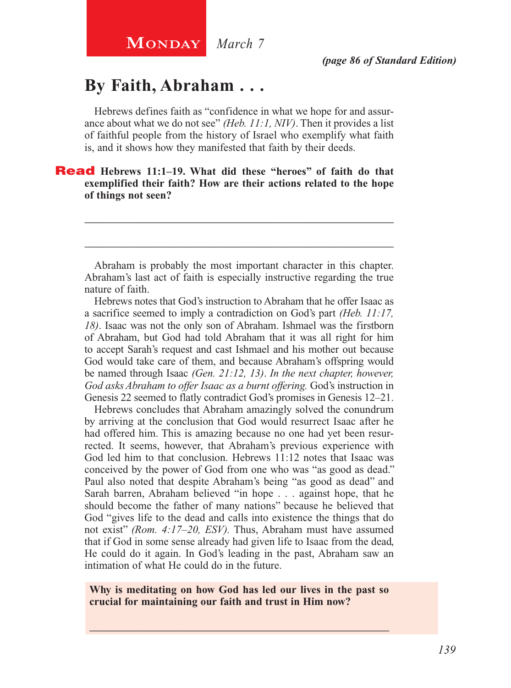## **By Faith, Abraham . . .**

Hebrews defines faith as "confidence in what we hope for and assurance about what we do not see" *(Heb. 11:1, NIV)*. Then it provides a list of faithful people from the history of Israel who exemplify what faith is, and it shows how they manifested that faith by their deeds.

#### Read **Hebrews 11:1–19. What did these "heroes" of faith do that exemplified their faith? How are their actions related to the hope of things not seen?**

Abraham is probably the most important character in this chapter. Abraham's last act of faith is especially instructive regarding the true nature of faith.

\_\_\_\_\_\_\_\_\_\_\_\_\_\_\_\_\_\_\_\_\_\_\_\_\_\_\_\_\_\_\_\_\_\_\_\_\_\_\_\_\_\_\_\_\_\_\_\_\_\_\_\_

\_\_\_\_\_\_\_\_\_\_\_\_\_\_\_\_\_\_\_\_\_\_\_\_\_\_\_\_\_\_\_\_\_\_\_\_\_\_\_\_\_\_\_\_\_\_\_\_\_\_\_\_

Hebrews notes that God's instruction to Abraham that he offer Isaac as a sacrifice seemed to imply a contradiction on God's part *(Heb. 11:17, 18)*. Isaac was not the only son of Abraham. Ishmael was the firstborn of Abraham, but God had told Abraham that it was all right for him to accept Sarah's request and cast Ishmael and his mother out because God would take care of them, and because Abraham's offspring would be named through Isaac *(Gen. 21:12, 13)*. *In the next chapter, however, God asks Abraham to offer Isaac as a burnt offering.* God's instruction in Genesis 22 seemed to flatly contradict God's promises in Genesis 12–21.

Hebrews concludes that Abraham amazingly solved the conundrum by arriving at the conclusion that God would resurrect Isaac after he had offered him. This is amazing because no one had yet been resurrected. It seems, however, that Abraham's previous experience with God led him to that conclusion. Hebrews 11:12 notes that Isaac was conceived by the power of God from one who was "as good as dead." Paul also noted that despite Abraham's being "as good as dead" and Sarah barren, Abraham believed "in hope . . . against hope, that he should become the father of many nations" because he believed that God "gives life to the dead and calls into existence the things that do not exist" *(Rom. 4:17–20, ESV).* Thus, Abraham must have assumed that if God in some sense already had given life to Isaac from the dead, He could do it again. In God's leading in the past, Abraham saw an intimation of what He could do in the future.

**Why is meditating on how God has led our lives in the past so crucial for maintaining our faith and trust in Him now?**

\_\_\_\_\_\_\_\_\_\_\_\_\_\_\_\_\_\_\_\_\_\_\_\_\_\_\_\_\_\_\_\_\_\_\_\_\_\_\_\_\_\_\_\_\_\_\_\_\_\_\_\_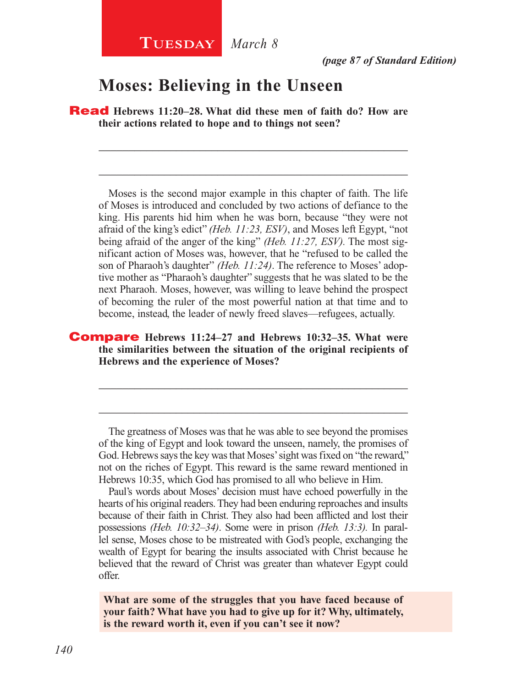### **Moses: Believing in the Unseen**

Read **Hebrews 11:20–28. What did these men of faith do? How are their actions related to hope and to things not seen?**

\_\_\_\_\_\_\_\_\_\_\_\_\_\_\_\_\_\_\_\_\_\_\_\_\_\_\_\_\_\_\_\_\_\_\_\_\_\_\_\_\_\_\_\_\_\_\_\_\_\_\_\_

\_\_\_\_\_\_\_\_\_\_\_\_\_\_\_\_\_\_\_\_\_\_\_\_\_\_\_\_\_\_\_\_\_\_\_\_\_\_\_\_\_\_\_\_\_\_\_\_\_\_\_\_

Moses is the second major example in this chapter of faith. The life of Moses is introduced and concluded by two actions of defiance to the king. His parents hid him when he was born, because "they were not afraid of the king's edict" *(Heb. 11:23, ESV)*, and Moses left Egypt, "not being afraid of the anger of the king" *(Heb. 11:27, ESV).* The most significant action of Moses was, however, that he "refused to be called the son of Pharaoh's daughter" *(Heb. 11:24)*. The reference to Moses' adoptive mother as "Pharaoh's daughter" suggests that he was slated to be the next Pharaoh. Moses, however, was willing to leave behind the prospect of becoming the ruler of the most powerful nation at that time and to become, instead, the leader of newly freed slaves—refugees, actually.

#### Compare **Hebrews 11:24–27 and Hebrews 10:32–35. What were the similarities between the situation of the original recipients of Hebrews and the experience of Moses?**

The greatness of Moses was that he was able to see beyond the promises of the king of Egypt and look toward the unseen, namely, the promises of God. Hebrews says the key was that Moses' sight was fixed on "the reward," not on the riches of Egypt. This reward is the same reward mentioned in Hebrews 10:35, which God has promised to all who believe in Him.

\_\_\_\_\_\_\_\_\_\_\_\_\_\_\_\_\_\_\_\_\_\_\_\_\_\_\_\_\_\_\_\_\_\_\_\_\_\_\_\_\_\_\_\_\_\_\_\_\_\_\_\_

\_\_\_\_\_\_\_\_\_\_\_\_\_\_\_\_\_\_\_\_\_\_\_\_\_\_\_\_\_\_\_\_\_\_\_\_\_\_\_\_\_\_\_\_\_\_\_\_\_\_\_\_

Paul's words about Moses' decision must have echoed powerfully in the hearts of his original readers. They had been enduring reproaches and insults because of their faith in Christ. They also had been afflicted and lost their possessions *(Heb. 10:32–34)*. Some were in prison *(Heb. 13:3).* In parallel sense, Moses chose to be mistreated with God's people, exchanging the wealth of Egypt for bearing the insults associated with Christ because he believed that the reward of Christ was greater than whatever Egypt could offer.

**What are some of the struggles that you have faced because of your faith? What have you had to give up for it? Why, ultimately, is the reward worth it, even if you can't see it now?**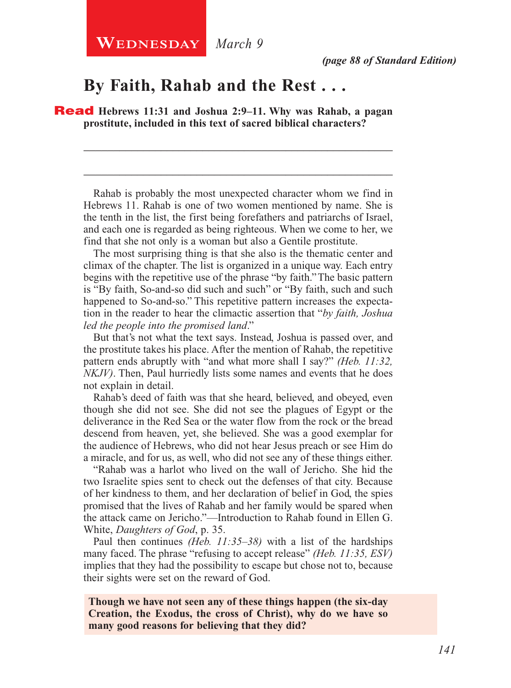#### **By Faith, Rahab and the Rest . . .**

Read **Hebrews 11:31 and Joshua 2:9–11. Why was Rahab, a pagan prostitute, included in this text of sacred biblical characters?**

Rahab is probably the most unexpected character whom we find in Hebrews 11. Rahab is one of two women mentioned by name. She is the tenth in the list, the first being forefathers and patriarchs of Israel, and each one is regarded as being righteous. When we come to her, we find that she not only is a woman but also a Gentile prostitute.

\_\_\_\_\_\_\_\_\_\_\_\_\_\_\_\_\_\_\_\_\_\_\_\_\_\_\_\_\_\_\_\_\_\_\_\_\_\_\_\_\_\_\_\_\_\_\_\_\_\_\_\_

\_\_\_\_\_\_\_\_\_\_\_\_\_\_\_\_\_\_\_\_\_\_\_\_\_\_\_\_\_\_\_\_\_\_\_\_\_\_\_\_\_\_\_\_\_\_\_\_\_\_\_\_

The most surprising thing is that she also is the thematic center and climax of the chapter. The list is organized in a unique way. Each entry begins with the repetitive use of the phrase "by faith." The basic pattern is "By faith, So-and-so did such and such" or "By faith, such and such happened to So-and-so." This repetitive pattern increases the expectation in the reader to hear the climactic assertion that "*by faith, Joshua led the people into the promised land*."

But that's not what the text says. Instead, Joshua is passed over, and the prostitute takes his place. After the mention of Rahab, the repetitive pattern ends abruptly with "and what more shall I say?" *(Heb. 11:32, NKJV)*. Then, Paul hurriedly lists some names and events that he does not explain in detail.

Rahab's deed of faith was that she heard, believed, and obeyed, even though she did not see. She did not see the plagues of Egypt or the deliverance in the Red Sea or the water flow from the rock or the bread descend from heaven, yet, she believed. She was a good exemplar for the audience of Hebrews, who did not hear Jesus preach or see Him do a miracle, and for us, as well, who did not see any of these things either.

"Rahab was a harlot who lived on the wall of Jericho. She hid the two Israelite spies sent to check out the defenses of that city. Because of her kindness to them, and her declaration of belief in God, the spies promised that the lives of Rahab and her family would be spared when the attack came on Jericho."—Introduction to Rahab found in Ellen G. White, *Daughters of God*, p. 35.

Paul then continues *(Heb. 11:35–38)* with a list of the hardships many faced. The phrase "refusing to accept release" *(Heb. 11:35, ESV)*  implies that they had the possibility to escape but chose not to, because their sights were set on the reward of God.

**Though we have not seen any of these things happen (the six-day Creation, the Exodus, the cross of Christ), why do we have so many good reasons for believing that they did?**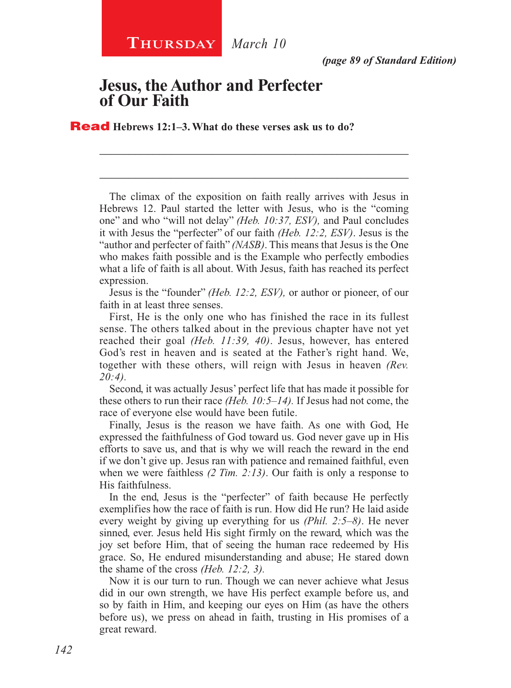*(page 89 of Standard Edition)*

#### **Jesus, the Author and Perfecter of Our Faith**

Read **Hebrews 12:1–3. What do these verses ask us to do?**

The climax of the exposition on faith really arrives with Jesus in Hebrews 12. Paul started the letter with Jesus, who is the "coming one" and who "will not delay" *(Heb. 10:37, ESV),* and Paul concludes it with Jesus the "perfecter" of our faith *(Heb. 12:2, ESV)*. Jesus is the "author and perfecter of faith" *(NASB)*. This means that Jesus is the One who makes faith possible and is the Example who perfectly embodies what a life of faith is all about. With Jesus, faith has reached its perfect expression.

\_\_\_\_\_\_\_\_\_\_\_\_\_\_\_\_\_\_\_\_\_\_\_\_\_\_\_\_\_\_\_\_\_\_\_\_\_\_\_\_\_\_\_\_\_\_\_\_\_\_\_\_

\_\_\_\_\_\_\_\_\_\_\_\_\_\_\_\_\_\_\_\_\_\_\_\_\_\_\_\_\_\_\_\_\_\_\_\_\_\_\_\_\_\_\_\_\_\_\_\_\_\_\_\_

Jesus is the "founder" *(Heb. 12:2, ESV),* or author or pioneer, of our faith in at least three senses.

First, He is the only one who has finished the race in its fullest sense. The others talked about in the previous chapter have not yet reached their goal *(Heb. 11:39, 40)*. Jesus, however, has entered God's rest in heaven and is seated at the Father's right hand. We, together with these others, will reign with Jesus in heaven *(Rev. 20:4).*

Second, it was actually Jesus' perfect life that has made it possible for these others to run their race *(Heb. 10:5–14).* If Jesus had not come, the race of everyone else would have been futile.

Finally, Jesus is the reason we have faith. As one with God, He expressed the faithfulness of God toward us. God never gave up in His efforts to save us, and that is why we will reach the reward in the end if we don't give up. Jesus ran with patience and remained faithful, even when we were faithless *(2 Tim. 2:13)*. Our faith is only a response to His faithfulness.

In the end, Jesus is the "perfecter" of faith because He perfectly exemplifies how the race of faith is run. How did He run? He laid aside every weight by giving up everything for us *(Phil. 2:5–8)*. He never sinned, ever. Jesus held His sight firmly on the reward, which was the joy set before Him, that of seeing the human race redeemed by His grace. So, He endured misunderstanding and abuse; He stared down the shame of the cross *(Heb. 12:2, 3).*

Now it is our turn to run. Though we can never achieve what Jesus did in our own strength, we have His perfect example before us, and so by faith in Him, and keeping our eyes on Him (as have the others before us), we press on ahead in faith, trusting in His promises of a great reward.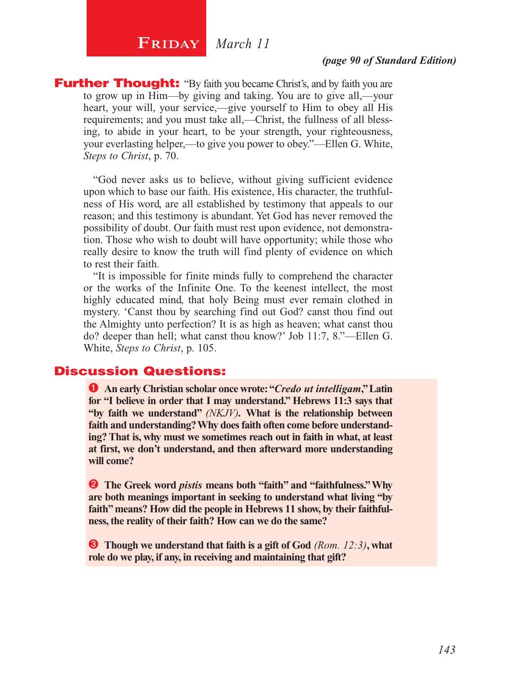# $\begin{bmatrix} \textbf{F}\textbf{R}\textbf{IDAY} & \textbf{March 11} \end{bmatrix}$

#### *(page 90 of Standard Edition)*

**Further Thought:** "By faith you became Christ's, and by faith you are to grow up in Him—by giving and taking. You are to give all,—your heart, your will, your service,—give yourself to Him to obey all His requirements; and you must take all,—Christ, the fullness of all blessing, to abide in your heart, to be your strength, your righteousness, your everlasting helper,—to give you power to obey."—Ellen G. White, *Steps to Christ*, p. 70.

"God never asks us to believe, without giving sufficient evidence upon which to base our faith. His existence, His character, the truthfulness of His word, are all established by testimony that appeals to our reason; and this testimony is abundant. Yet God has never removed the possibility of doubt. Our faith must rest upon evidence, not demonstration. Those who wish to doubt will have opportunity; while those who really desire to know the truth will find plenty of evidence on which to rest their faith.

"It is impossible for finite minds fully to comprehend the character or the works of the Infinite One. To the keenest intellect, the most highly educated mind, that holy Being must ever remain clothed in mystery. 'Canst thou by searching find out God? canst thou find out the Almighty unto perfection? It is as high as heaven; what canst thou do? deeper than hell; what canst thou know?' Job 11:7, 8."—Ellen G. White, *Steps to Christ*, p. 105.

#### Discussion Questions:

 **An early Christian scholar once wrote: "***Credo ut intelligam***," Latin for "I believe in order that I may understand." Hebrews 11:3 says that "by faith we understand"** *(NKJV).* **What is the relationship between faith and understanding? Why does faith often come before understanding? That is, why must we sometimes reach out in faith in what, at least at first, we don't understand, and then afterward more understanding will come?**

**2** The Greek word *pistis* means both "faith" and "faithfulness." Why **are both meanings important in seeking to understand what living "by faith" means? How did the people in Hebrews 11 show, by their faithfulness, the reality of their faith? How can we do the same?**

 **Though we understand that faith is a gift of God** *(Rom. 12:3)***, what role do we play, if any, in receiving and maintaining that gift?**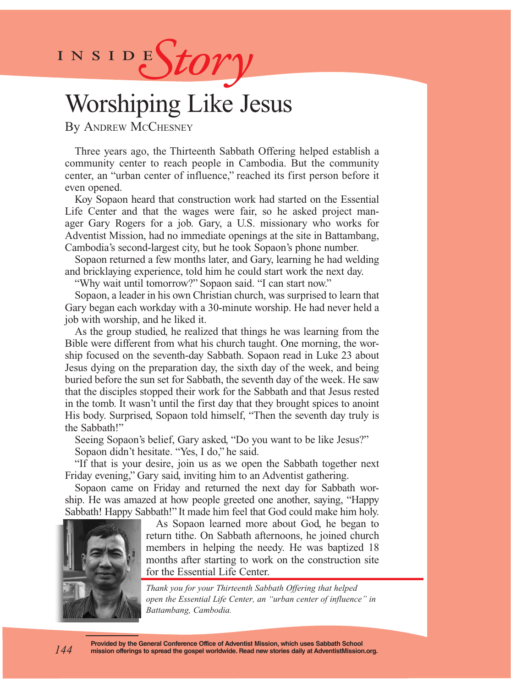

# Worshiping Like Jesus

By Andrew McChesney

Three years ago, the Thirteenth Sabbath Offering helped establish a community center to reach people in Cambodia. But the community center, an "urban center of influence," reached its first person before it even opened.

Koy Sopaon heard that construction work had started on the Essential Life Center and that the wages were fair, so he asked project manager Gary Rogers for a job. Gary, a U.S. missionary who works for Adventist Mission, had no immediate openings at the site in Battambang, Cambodia's second-largest city, but he took Sopaon's phone number.

Sopaon returned a few months later, and Gary, learning he had welding and bricklaying experience, told him he could start work the next day.

"Why wait until tomorrow?" Sopaon said. "I can start now."

Sopaon, a leader in his own Christian church, was surprised to learn that Gary began each workday with a 30-minute worship. He had never held a job with worship, and he liked it.

As the group studied, he realized that things he was learning from the Bible were different from what his church taught. One morning, the worship focused on the seventh-day Sabbath. Sopaon read in Luke 23 about Jesus dying on the preparation day, the sixth day of the week, and being buried before the sun set for Sabbath, the seventh day of the week. He saw that the disciples stopped their work for the Sabbath and that Jesus rested in the tomb. It wasn't until the first day that they brought spices to anoint His body. Surprised, Sopaon told himself, "Then the seventh day truly is the Sabbath!"

Seeing Sopaon's belief, Gary asked, "Do you want to be like Jesus?" Sopaon didn't hesitate. "Yes, I do," he said.

"If that is your desire, join us as we open the Sabbath together next Friday evening," Gary said, inviting him to an Adventist gathering.

Sopaon came on Friday and returned the next day for Sabbath worship. He was amazed at how people greeted one another, saying, "Happy Sabbath! Happy Sabbath!" It made him feel that God could make him holy.



As Sopaon learned more about God, he began to return tithe. On Sabbath afternoons, he joined church members in helping the needy. He was baptized 18 months after starting to work on the construction site for the Essential Life Center.

*Thank you for your Thirteenth Sabbath Offering that helped open the Essential Life Center, an "urban center of influence" in Battambang, Cambodia.*

**Provided by the General Conference Office of Adventist Mission, which uses Sabbath School mission offerings to spread the gospel worldwide. Read new stories daily at AdventistMission.org.**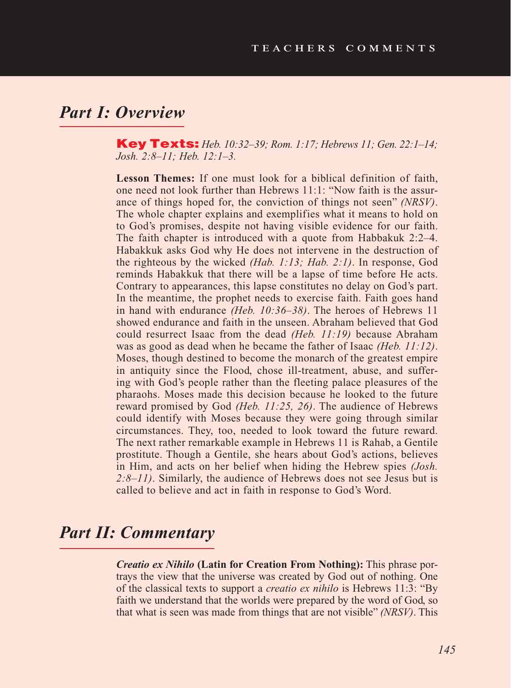## *Part I: Overview*

Key Texts: *Heb. 10:32–39; Rom. 1:17; Hebrews 11; Gen. 22:1–14; Josh. 2:8–11; Heb. 12:1–3.*

**Lesson Themes:** If one must look for a biblical definition of faith, one need not look further than Hebrews 11:1: "Now faith is the assurance of things hoped for, the conviction of things not seen" *(NRSV)*. The whole chapter explains and exemplifies what it means to hold on to God's promises, despite not having visible evidence for our faith. The faith chapter is introduced with a quote from Habbakuk 2:2–4. Habakkuk asks God why He does not intervene in the destruction of the righteous by the wicked *(Hab. 1:13; Hab. 2:1)*. In response, God reminds Habakkuk that there will be a lapse of time before He acts. Contrary to appearances, this lapse constitutes no delay on God's part. In the meantime, the prophet needs to exercise faith. Faith goes hand in hand with endurance *(Heb. 10:36–38)*. The heroes of Hebrews 11 showed endurance and faith in the unseen. Abraham believed that God could resurrect Isaac from the dead *(Heb. 11:19)* because Abraham was as good as dead when he became the father of Isaac *(Heb. 11:12)*. Moses, though destined to become the monarch of the greatest empire in antiquity since the Flood, chose ill-treatment, abuse, and suffering with God's people rather than the fleeting palace pleasures of the pharaohs. Moses made this decision because he looked to the future reward promised by God *(Heb. 11:25, 26)*. The audience of Hebrews could identify with Moses because they were going through similar circumstances. They, too, needed to look toward the future reward. The next rather remarkable example in Hebrews 11 is Rahab, a Gentile prostitute. Though a Gentile, she hears about God's actions, believes in Him, and acts on her belief when hiding the Hebrew spies *(Josh. 2:8–11)*. Similarly, the audience of Hebrews does not see Jesus but is called to believe and act in faith in response to God's Word.

## *Part II: Commentary*

*Creatio ex Nihilo* **(Latin for Creation From Nothing):** This phrase portrays the view that the universe was created by God out of nothing. One of the classical texts to support a *creatio ex nihilo* is Hebrews 11:3: "By faith we understand that the worlds were prepared by the word of God, so that what is seen was made from things that are not visible" *(NRSV)*. This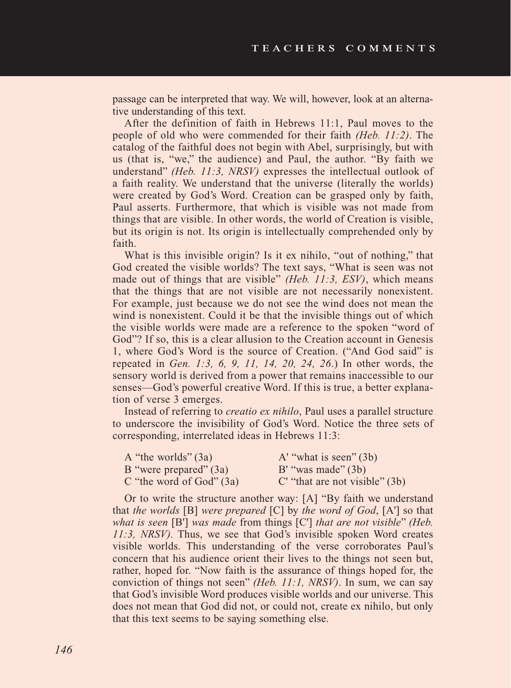passage can be interpreted that way. We will, however, look at an alternative understanding of this text.

After the definition of faith in Hebrews 11:1, Paul moves to the people of old who were commended for their faith *(Heb. 11:2)*. The catalog of the faithful does not begin with Abel, surprisingly, but with us (that is, "we," the audience) and Paul, the author. "By faith we understand" *(Heb. 11:3, NRSV)* expresses the intellectual outlook of a faith reality. We understand that the universe (literally the worlds) were created by God's Word. Creation can be grasped only by faith, Paul asserts. Furthermore, that which is visible was not made from things that are visible. In other words, the world of Creation is visible, but its origin is not. Its origin is intellectually comprehended only by faith.

What is this invisible origin? Is it ex nihilo, "out of nothing," that God created the visible worlds? The text says, "What is seen was not made out of things that are visible" *(Heb. 11:3, ESV)*, which means that the things that are not visible are not necessarily nonexistent. For example, just because we do not see the wind does not mean the wind is nonexistent. Could it be that the invisible things out of which the visible worlds were made are a reference to the spoken "word of God"? If so, this is a clear allusion to the Creation account in Genesis 1, where God's Word is the source of Creation. ("And God said" is repeated in *Gen. 1:3, 6, 9, 11, 14, 20, 24, 26*.) In other words, the sensory world is derived from a power that remains inaccessible to our senses—God's powerful creative Word. If this is true, a better explanation of verse 3 emerges.

Instead of referring to *creatio ex nihilo*, Paul uses a parallel structure to underscore the invisibility of God's Word. Notice the three sets of corresponding, interrelated ideas in Hebrews 11:3:

| A "the worlds" (3a)        | A' "what is seen" $(3b)$         |
|----------------------------|----------------------------------|
| B "were prepared" (3a)     | $B'$ "was made" $(3b)$           |
| C "the word of $God" (3a)$ | C' "that are not visible" $(3b)$ |

Or to write the structure another way: [A] "By faith we understand that *the worlds* [B] *were prepared* [C] by *the word of God*, [A'] so that *what is seen* [B'] *was made* from things [C'] *that are not visible*" *(Heb. 11:3, NRSV).* Thus, we see that God's invisible spoken Word creates visible worlds. This understanding of the verse corroborates Paul's concern that his audience orient their lives to the things not seen but, rather, hoped for. "Now faith is the assurance of things hoped for, the conviction of things not seen" *(Heb. 11:1, NRSV)*. In sum, we can say that God's invisible Word produces visible worlds and our universe. This does not mean that God did not, or could not, create ex nihilo, but only that this text seems to be saying something else.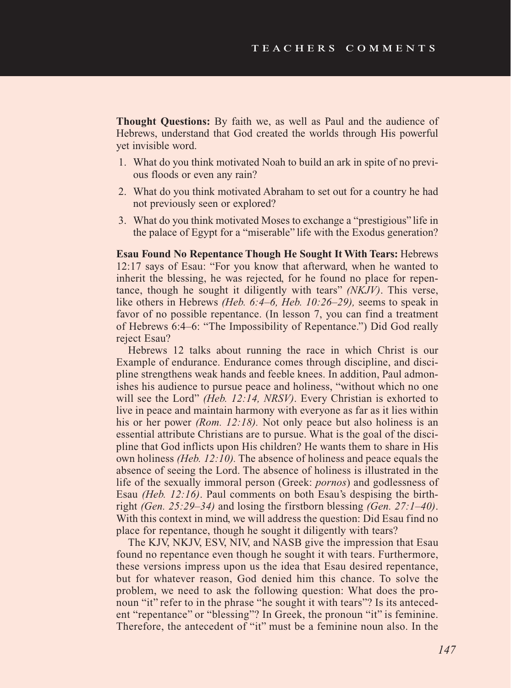**Thought Questions:** By faith we, as well as Paul and the audience of Hebrews, understand that God created the worlds through His powerful yet invisible word.

- 1. What do you think motivated Noah to build an ark in spite of no previous floods or even any rain?
- 2. What do you think motivated Abraham to set out for a country he had not previously seen or explored?
- 3. What do you think motivated Moses to exchange a "prestigious" life in the palace of Egypt for a "miserable" life with the Exodus generation?

**Esau Found No Repentance Though He Sought It With Tears:** Hebrews 12:17 says of Esau: "For you know that afterward, when he wanted to inherit the blessing, he was rejected, for he found no place for repentance, though he sought it diligently with tears" *(NKJV)*. This verse, like others in Hebrews *(Heb. 6:4–6, Heb. 10:26–29),* seems to speak in favor of no possible repentance. (In lesson 7, you can find a treatment of Hebrews 6:4–6: "The Impossibility of Repentance.") Did God really reject Esau?

Hebrews 12 talks about running the race in which Christ is our Example of endurance. Endurance comes through discipline, and discipline strengthens weak hands and feeble knees. In addition, Paul admonishes his audience to pursue peace and holiness, "without which no one will see the Lord" *(Heb. 12:14, NRSV)*. Every Christian is exhorted to live in peace and maintain harmony with everyone as far as it lies within his or her power *(Rom. 12:18).* Not only peace but also holiness is an essential attribute Christians are to pursue. What is the goal of the discipline that God inflicts upon His children? He wants them to share in His own holiness *(Heb. 12:10).* The absence of holiness and peace equals the absence of seeing the Lord. The absence of holiness is illustrated in the life of the sexually immoral person (Greek: *pornos*) and godlessness of Esau *(Heb. 12:16)*. Paul comments on both Esau's despising the birthright *(Gen. 25:29–34)* and losing the firstborn blessing *(Gen. 27:1–40)*. With this context in mind, we will address the question: Did Esau find no place for repentance, though he sought it diligently with tears?

The KJV, NKJV, ESV, NIV, and NASB give the impression that Esau found no repentance even though he sought it with tears. Furthermore, these versions impress upon us the idea that Esau desired repentance, but for whatever reason, God denied him this chance. To solve the problem, we need to ask the following question: What does the pronoun "it" refer to in the phrase "he sought it with tears"? Is its antecedent "repentance" or "blessing"? In Greek, the pronoun "it" is feminine. Therefore, the antecedent of "it" must be a feminine noun also. In the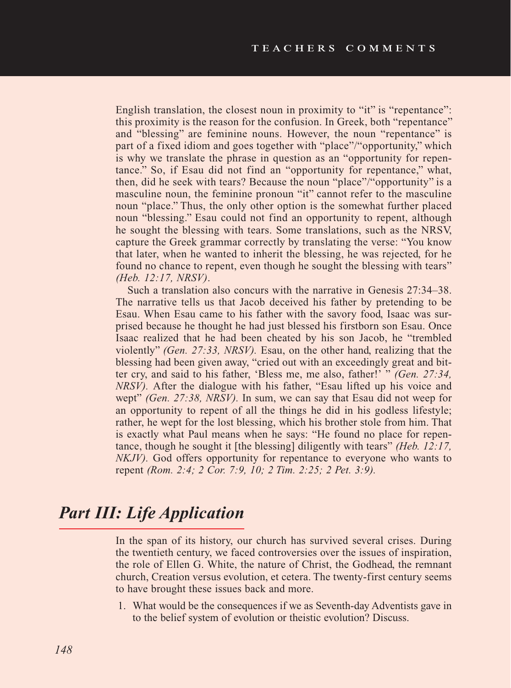English translation, the closest noun in proximity to "it" is "repentance": this proximity is the reason for the confusion. In Greek, both "repentance" and "blessing" are feminine nouns. However, the noun "repentance" is part of a fixed idiom and goes together with "place"/"opportunity," which is why we translate the phrase in question as an "opportunity for repentance." So, if Esau did not find an "opportunity for repentance," what, then, did he seek with tears? Because the noun "place"/"opportunity" is a masculine noun, the feminine pronoun "it" cannot refer to the masculine noun "place." Thus, the only other option is the somewhat further placed noun "blessing." Esau could not find an opportunity to repent, although he sought the blessing with tears. Some translations, such as the NRSV, capture the Greek grammar correctly by translating the verse: "You know that later, when he wanted to inherit the blessing, he was rejected, for he found no chance to repent, even though he sought the blessing with tears" *(Heb. 12:17, NRSV)*.

Such a translation also concurs with the narrative in Genesis 27:34–38. The narrative tells us that Jacob deceived his father by pretending to be Esau. When Esau came to his father with the savory food, Isaac was surprised because he thought he had just blessed his firstborn son Esau. Once Isaac realized that he had been cheated by his son Jacob, he "trembled violently" *(Gen. 27:33, NRSV).* Esau, on the other hand, realizing that the blessing had been given away, "cried out with an exceedingly great and bitter cry, and said to his father, 'Bless me, me also, father!' " *(Gen. 27:34, NRSV*). After the dialogue with his father, "Esau lifted up his voice and wept" *(Gen. 27:38, NRSV).* In sum, we can say that Esau did not weep for an opportunity to repent of all the things he did in his godless lifestyle; rather, he wept for the lost blessing, which his brother stole from him. That is exactly what Paul means when he says: "He found no place for repentance, though he sought it [the blessing] diligently with tears" *(Heb. 12:17, NKJV).* God offers opportunity for repentance to everyone who wants to repent *(Rom. 2:4; 2 Cor. 7:9, 10; 2 Tim. 2:25; 2 Pet. 3:9).* 

# *Part III: Life Application*

In the span of its history, our church has survived several crises. During the twentieth century, we faced controversies over the issues of inspiration, the role of Ellen G. White, the nature of Christ, the Godhead, the remnant church, Creation versus evolution, et cetera. The twenty-first century seems to have brought these issues back and more.

1. What would be the consequences if we as Seventh-day Adventists gave in to the belief system of evolution or theistic evolution? Discuss.